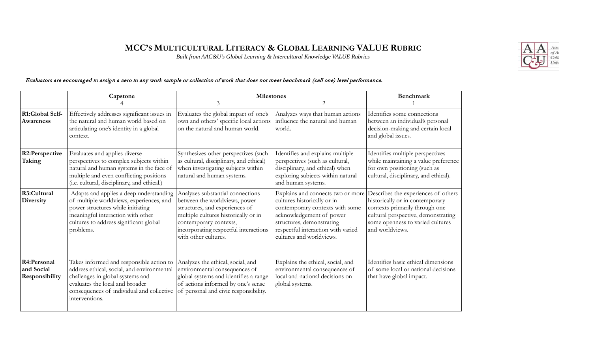## **MCC'S MULTICULTURAL LITERACY & GLOBAL LEARNING VALUE RUBRIC**

*Built from AAC&U's Global Learning & Intercultural Knowledge VALUE Rubrics* 



## Evaluators are encouraged to assign a zero to any work sample or collection of work that does not meet benchmark (cell one) level performance.

|                                             | Capstone                                                                                                                                                                                                                     | <b>Milestones</b><br>$\mathcal{E}$<br>2                                                                                                                                                                                                |                                                                                                                                                                                                                                | Benchmark                                                                                                                                                                                              |
|---------------------------------------------|------------------------------------------------------------------------------------------------------------------------------------------------------------------------------------------------------------------------------|----------------------------------------------------------------------------------------------------------------------------------------------------------------------------------------------------------------------------------------|--------------------------------------------------------------------------------------------------------------------------------------------------------------------------------------------------------------------------------|--------------------------------------------------------------------------------------------------------------------------------------------------------------------------------------------------------|
| R1:Global Self-<br>Awareness                | Effectively addresses significant issues in<br>the natural and human world based on<br>articulating one's identity in a global<br>context.                                                                                   | Evaluates the global impact of one's<br>own and others' specific local actions<br>on the natural and human world.                                                                                                                      | Analyzes ways that human actions<br>influence the natural and human<br>world.                                                                                                                                                  | Identifies some connections<br>between an individual's personal<br>decision-making and certain local<br>and global issues.                                                                             |
| R2:Perspective<br>Taking                    | Evaluates and applies diverse<br>perspectives to complex subjects within<br>natural and human systems in the face of<br>multiple and even conflicting positions<br>(i.e. cultural, disciplinary, and ethical.)               | Synthesizes other perspectives (such<br>as cultural, disciplinary, and ethical)<br>when investigating subjects within<br>natural and human systems.                                                                                    | Identifies and explains multiple<br>perspectives (such as cultural,<br>disciplinary, and ethical) when<br>exploring subjects within natural<br>and human systems.                                                              | Identifies multiple perspectives<br>while maintaining a value preference<br>for own positioning (such as<br>cultural, disciplinary, and ethical).                                                      |
| R3:Cultural<br><b>Diversity</b>             | Adapts and applies a deep understanding<br>of multiple worldviews, experiences, and<br>power structures while initiating<br>meaningful interaction with other<br>cultures to address significant global<br>problems.         | Analyzes substantial connections<br>between the worldviews, power<br>structures, and experiences of<br>multiple cultures historically or in<br>contemporary contexts,<br>incorporating respectful interactions<br>with other cultures. | Explains and connects two or more<br>cultures historically or in<br>contemporary contexts with some<br>acknowledgement of power<br>structures, demonstrating<br>respectful interaction with varied<br>cultures and worldviews. | Describes the experiences of others<br>historically or in contemporary<br>contexts primarily through one<br>cultural perspective, demonstrating<br>some openness to varied cultures<br>and worldviews. |
| R4:Personal<br>and Social<br>Responsibility | Takes informed and responsible action to<br>address ethical, social, and environmental<br>challenges in global systems and<br>evaluates the local and broader<br>consequences of individual and collective<br>interventions. | Analyzes the ethical, social, and<br>environmental consequences of<br>global systems and identifies a range<br>of actions informed by one's sense<br>of personal and civic responsibility.                                             | Explains the ethical, social, and<br>environmental consequences of<br>local and national decisions on<br>global systems.                                                                                                       | Identifies basic ethical dimensions<br>of some local or national decisions<br>that have global impact.                                                                                                 |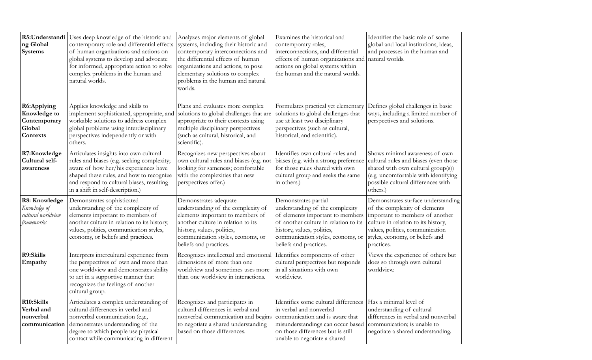| R5:Understandi<br>ng Global<br>Systems                            | Uses deep knowledge of the historic and<br>contemporary role and differential effects<br>of human organizations and actions on<br>global systems to develop and advocate<br>for informed, appropriate action to solve<br>complex problems in the human and<br>natural worlds. | Analyzes major elements of global<br>systems, including their historic and<br>contemporary interconnections and<br>the differential effects of human<br>organizations and actions, to pose<br>elementary solutions to complex<br>problems in the human and natural<br>worlds. | Examines the historical and<br>contemporary roles,<br>interconnections, and differential<br>effects of human organizations and<br>actions on global systems within<br>the human and the natural worlds.                           | Identifies the basic role of some<br>global and local institutions, ideas,<br>and processes in the human and<br>natural worlds.                                                                                                   |
|-------------------------------------------------------------------|-------------------------------------------------------------------------------------------------------------------------------------------------------------------------------------------------------------------------------------------------------------------------------|-------------------------------------------------------------------------------------------------------------------------------------------------------------------------------------------------------------------------------------------------------------------------------|-----------------------------------------------------------------------------------------------------------------------------------------------------------------------------------------------------------------------------------|-----------------------------------------------------------------------------------------------------------------------------------------------------------------------------------------------------------------------------------|
| R6:Applying<br>Knowledge to<br>Contemporary<br>Global<br>Contexts | Applies knowledge and skills to<br>implement sophisticated, appropriate, and<br>workable solutions to address complex<br>global problems using interdisciplinary<br>perspectives independently or with<br>others.                                                             | Plans and evaluates more complex<br>solutions to global challenges that are<br>appropriate to their contexts using<br>multiple disciplinary perspectives<br>(such as cultural, historical, and<br>scientific).                                                                | Formulates practical yet elementary<br>solutions to global challenges that<br>use at least two disciplinary<br>perspectives (such as cultural,<br>historical, and scientific).                                                    | Defines global challenges in basic<br>ways, including a limited number of<br>perspectives and solutions.                                                                                                                          |
| R7:Knowledge<br>Cultural self-<br>awareness                       | Articulates insights into own cultural<br>rules and biases (e.g. seeking complexity;<br>aware of how her/his experiences have<br>shaped these rules, and how to recognize<br>and respond to cultural biases, resulting<br>in a shift in self-description.)                    | Recognizes new perspectives about<br>own cultural rules and biases (e.g. not<br>looking for sameness; comfortable<br>with the complexities that new<br>perspectives offer.)                                                                                                   | Identifies own cultural rules and<br>biases (e.g. with a strong preference<br>for those rules shared with own<br>cultural group and seeks the same<br>in others.)                                                                 | Shows minimal awareness of own<br>cultural rules and biases (even those<br>shared with own cultural group(s))<br>(e.g. uncomfortable with identifying<br>possible cultural differences with<br>others.)                           |
| R8: Knowledge<br>Knowledge of<br>cultural worldview<br>frameworks | Demonstrates sophisticated<br>understanding of the complexity of<br>elements important to members of<br>another culture in relation to its history,<br>values, politics, communication styles,<br>economy, or beliefs and practices.                                          | Demonstrates adequate<br>understanding of the complexity of<br>elements important to members of<br>another culture in relation to its<br>history, values, politics,<br>communication styles, economy, or<br>beliefs and practices.                                            | Demonstrates partial<br>understanding of the complexity<br>of elements important to members<br>of another culture in relation to its<br>history, values, politics,<br>communication styles, economy, or<br>beliefs and practices. | Demonstrates surface understanding<br>of the complexity of elements<br>important to members of another<br>culture in relation to its history,<br>values, politics, communication<br>styles, economy, or beliefs and<br>practices. |
| R9:Skills<br>Empathy                                              | Interprets intercultural experience from<br>the perspectives of own and more than<br>one worldview and demonstrates ability<br>to act in a supportive manner that<br>recognizes the feelings of another<br>cultural group.                                                    | Recognizes intellectual and emotional<br>dimensions of more than one<br>worldview and sometimes uses more<br>than one worldview in interactions.                                                                                                                              | Identifies components of other<br>cultural perspectives but responds<br>in all situations with own<br>worldview.                                                                                                                  | Views the experience of others but<br>does so through own cultural<br>worldview.                                                                                                                                                  |
| R10:Skills<br>Verbal and<br>nonverbal<br>communication            | Articulates a complex understanding of<br>cultural differences in verbal and<br>nonverbal communication (e.g.,<br>demonstrates understanding of the<br>degree to which people use physical<br>contact while communicating in different                                        | Recognizes and participates in<br>cultural differences in verbal and<br>nonverbal communication and begins<br>to negotiate a shared understanding<br>based on those differences.                                                                                              | Identifies some cultural differences<br>in verbal and nonverbal<br>communication and is aware that<br>misunderstandings can occur based<br>on those differences but is still<br>unable to negotiate a shared                      | Has a minimal level of<br>understanding of cultural<br>differences in verbal and nonverbal<br>communication; is unable to<br>negotiate a shared understanding.                                                                    |